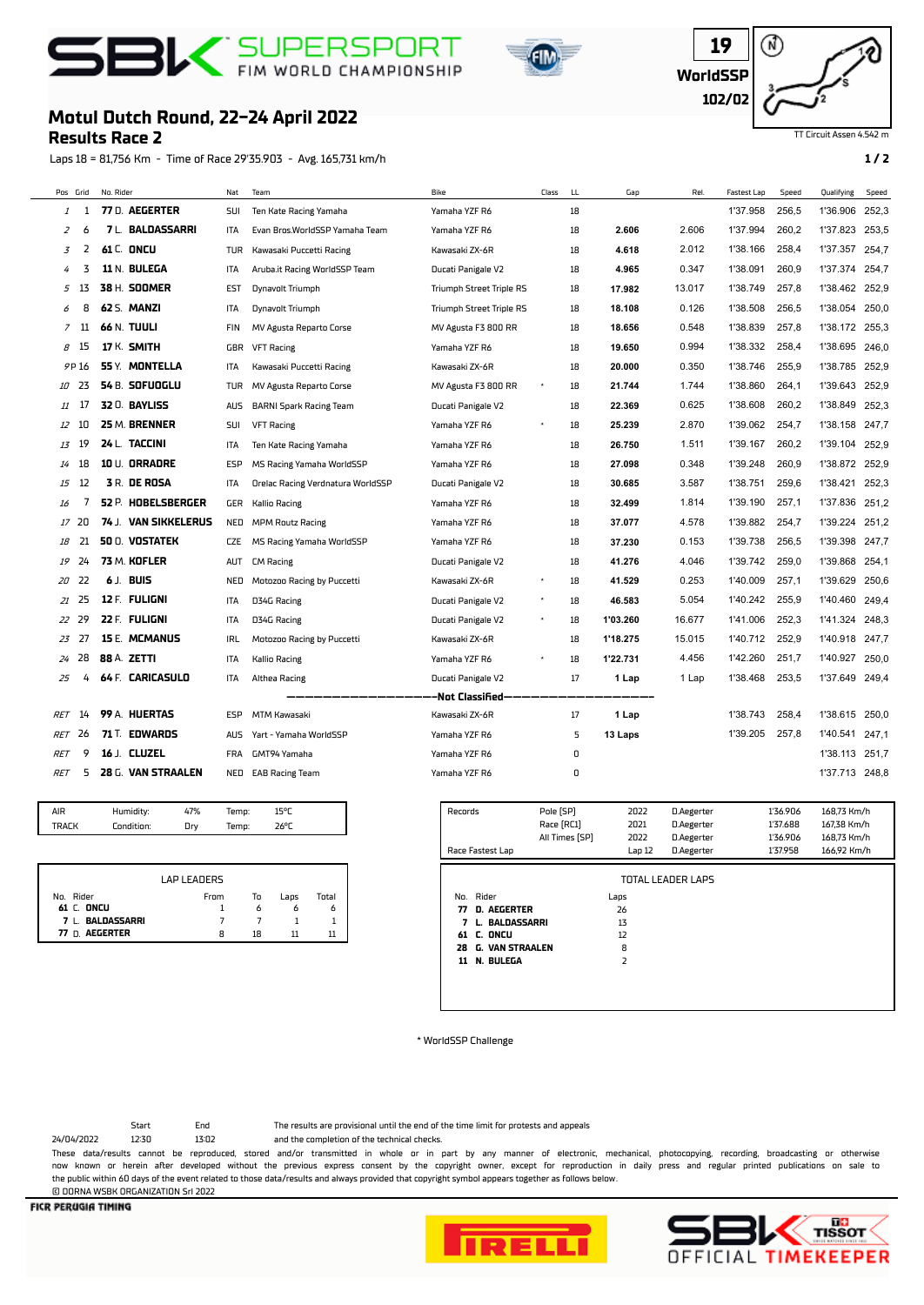





## TT Circuit Assen 4.542 m

## **Motul Dutch Round, 22-24 April 2022**

## **Results Race 2**

Laps 18 = 81,756 Km - Time of Race 29'35.903 - Avg. 165,731 km/h **1 / 2**

|                | Pos Grid | No. Rider |                         | Nat        | Team                              | Bike                            | Class | LL | Gap      | Rel.   | <b>Fastest Lap</b> | Speed | Qualifying     | Speed |
|----------------|----------|-----------|-------------------------|------------|-----------------------------------|---------------------------------|-------|----|----------|--------|--------------------|-------|----------------|-------|
| 1              | 1        |           | 77 D. AEGERTER          | SUI        | Ten Kate Racing Yamaha            | Yamaha YZF R6                   |       | 18 |          |        | 1'37.958           | 256,5 | 1'36.906       | 252,3 |
| $\overline{z}$ | 6        |           | <b>7 L. BALDASSARRI</b> | ITA        | Evan Bros.WorldSSP Yamaha Team    | Yamaha YZF R6                   |       | 18 | 2.606    | 2.606  | 1'37.994           | 260.2 | 1'37.823       | 253,5 |
| 3              | 2        |           | <b>61 C. ONCU</b>       | <b>TUR</b> | Kawasaki Puccetti Racing          | Kawasaki ZX-6R                  |       | 18 | 4.618    | 2.012  | 1'38.166           | 258.4 | 1'37.357       | 254,7 |
| 4              | 3        |           | 11 N. BULEGA            | ITA        | Aruba.it Racing WorldSSP Team     | Ducati Panigale V2              |       | 18 | 4.965    | 0.347  | 1'38.091           | 260,9 | 1'37.374       | 254.7 |
| 5              | 13       |           | 38 H. SOOMER            | EST        | Dynavolt Triumph                  | Triumph Street Triple RS        |       | 18 | 17.982   | 13.017 | 1'38.749           | 257,8 | 1'38.462       | 252,9 |
| 6              | 8        |           | 62 S. MANZI             | ITA        | Dynavolt Triumph                  | <b>Triumph Street Triple RS</b> |       | 18 | 18.108   | 0.126  | 1'38.508           | 256,5 | 1'38.054       | 250,0 |
| 7              | 11       |           | 66 N. TUULI             | FIN        | MV Agusta Reparto Corse           | MV Agusta F3 800 RR             |       | 18 | 18.656   | 0.548  | 1'38.839           | 257,8 | 1'38.172       | 255,3 |
| 8              | -15      |           | 17 K. SMITH             | GBR        | <b>VFT Racing</b>                 | Yamaha YZF R6                   |       | 18 | 19.650   | 0.994  | 1'38.332           | 258,4 | 1'38.695 246.0 |       |
|                | 9P 16    |           | 55 Y. MONTELLA          | ITA        | Kawasaki Puccetti Racing          | Kawasaki ZX-6R                  |       | 18 | 20.000   | 0.350  | 1'38.746           | 255.9 | 1'38.785       | 252,9 |
| 10             | 23       |           | 54 B. SOFUOGLU          | TUR        | MV Agusta Reparto Corse           | MV Agusta F3 800 RR             |       | 18 | 21.744   | 1.744  | 1'38.860           | 264,1 | 1'39.643       | 252,9 |
| 11             | 17       |           | 32 0. BAYLISS           | <b>AUS</b> | <b>BARNI Spark Racing Team</b>    | Ducati Panigale V2              |       | 18 | 22.369   | 0.625  | 1'38.608           | 260,2 | 1'38.849       | 252,3 |
| 12             | 10       |           | 25 M. BRENNER           | SUI        | <b>VFT Racing</b>                 | Yamaha YZF R6                   |       | 18 | 25.239   | 2.870  | 1'39.062           | 254,7 | 1'38.158       | 247.7 |
| 13             | 19       |           | 24 L. TACCINI           | ITA        | Ten Kate Racing Yamaha            | Yamaha YZF R6                   |       | 18 | 26.750   | 1.511  | 1'39.167           | 260.2 | 1'39.104       | 252,9 |
| 14             | 18       |           | 10 U. ORRADRE           | ESP        | MS Racing Yamaha WorldSSP         | Yamaha YZF R6                   |       | 18 | 27.098   | 0.348  | 1'39.248           | 260,9 | 1'38.872       | 252,9 |
| 15             | 12       |           | <b>3 R. DE ROSA</b>     | ITA        | Orelac Racing Verdnatura WorldSSP | Ducati Panigale V2              |       | 18 | 30.685   | 3.587  | 1'38.751           | 259,6 | 1'38.421       | 252,3 |
| 16             | 7        |           | 52 P. HOBELSBERGER      | GER        | <b>Kallio Racing</b>              | Yamaha YZF R6                   |       | 18 | 32.499   | 1.814  | 1'39.190           | 257,1 | 1'37.836       | 251,2 |
| 17             | 20       |           | 74 J. VAN SIKKELERUS    | NED        | <b>MPM Routz Racing</b>           | Yamaha YZF R6                   |       | 18 | 37.077   | 4.578  | 1'39.882           | 254,7 | 1'39.224       | 251,2 |
| 18             | 21       |           | <b>50 O. VOSTATEK</b>   | <b>CZE</b> | MS Racing Yamaha WorldSSP         | Yamaha YZF R6                   |       | 18 | 37.230   | 0.153  | 1'39.738           | 256.5 | 1'39.398 247.7 |       |
| 19             | 24       |           | 73 M. KOFLER            | <b>AUT</b> | <b>CM Racing</b>                  | Ducati Panigale V2              |       | 18 | 41.276   | 4.046  | 1'39.742           | 259.0 | 1'39.868       | 254,1 |
| 20             | 22       |           | 6 J. BUIS               | <b>NED</b> | Motozoo Racing by Puccetti        | Kawasaki ZX-6R                  |       | 18 | 41.529   | 0.253  | 1'40.009           | 257,1 | 1'39.629       | 250,6 |
| 21             | 25       |           | 12 F. FULIGNI           | ITA        | D34G Racing                       | Ducati Panigale V2              |       | 18 | 46.583   | 5.054  | 1'40.242           | 255,9 | 1'40.460       | 249,4 |
| 22             | 29       |           | 22 F. FULIGNI           | ITA        | D34G Racing                       | Ducati Panigale V2              |       | 18 | 1'03.260 | 16.677 | 1'41.006           | 252,3 | 1'41.324       | 248,3 |
| 23             | 27       |           | <b>15 E. MCMANUS</b>    | <b>IRL</b> | Motozoo Racing by Puccetti        | Kawasaki ZX-6R                  |       | 18 | 1'18.275 | 15.015 | 1'40.712           | 252,9 | 1'40.918       | 247.7 |
| 24             | 28       |           | 88 A. ZETTI             | <b>ITA</b> | <b>Kallio Racing</b>              | Yamaha YZF R6                   |       | 18 | 1'22.731 | 4.456  | 1'42.260           | 251.7 | 1'40.927       | 250,0 |
| 25             | 4        |           | 64 F. CARICASULO        | ITA        | Althea Racing                     | Ducati Panigale V2              |       | 17 | 1 Lap    | 1 Lap  | 1'38.468           | 253,5 | 1'37.649       | 249,4 |
|                |          |           |                         |            |                                   | -Not Classified-                |       |    |          |        |                    |       |                |       |
| <b>RET</b>     | 14       |           | 99 A. HUERTAS           | <b>ESP</b> | <b>MTM Kawasaki</b>               | Kawasaki ZX-6R                  |       | 17 | 1 Lap    |        | 1'38.743           | 258.4 | 1'38.615       | 250.0 |
| RET            | 26       |           | 71 T. EDWARDS           | <b>AUS</b> | Yart - Yamaha WorldSSP            | Yamaha YZF R6                   |       | 5  | 13 Laps  |        | 1'39.205           | 257,8 | 1'40.541       | 247,1 |
| <b>RET</b>     | 9        |           | 16 J. CLUZEL            | <b>FRA</b> | GMT94 Yamaha                      | Yamaha YZF R6                   |       | 0  |          |        |                    |       | 1'38.113       | 251,7 |
| <b>RET</b>     | 5        |           | 28 G. VAN STRAALEN      |            | NED EAB Racing Team               | Yamaha YZF R6                   |       | 0  |          |        |                    |       | 1'37.713 248,8 |       |

| <b>TRAFK</b><br>Condition: | Drv | Temp: | $26^{\circ}$ r |  |
|----------------------------|-----|-------|----------------|--|

|                         | LAP LEADERS |    |      |       |
|-------------------------|-------------|----|------|-------|
| No. Rider               | From        | To | Lans | Total |
| 61 C. ONCU              |             | 6  |      | ٥     |
| 7 L. BALDASSARRI        |             |    |      |       |
| n <b>AEGERTER</b><br>77 | 8           | 18 |      |       |

| Records | Race Fastest Lap         | Pole [SP]<br>Race [RC1]<br>All Times [SP] | 2022<br>2021<br>2022<br>Lap 12 | D.Aegerter<br>D.Aegerter<br>D.Aegerter<br>D.Aegerter | 1'36.906<br>1'37.688<br>1'36.906<br>1'37.958 | 168,73 Km/h<br>167.38 Km/h<br>168,73 Km/h<br>166,92 Km/h |
|---------|--------------------------|-------------------------------------------|--------------------------------|------------------------------------------------------|----------------------------------------------|----------------------------------------------------------|
|         |                          |                                           |                                | <b>TOTAL LEADER LAPS</b>                             |                                              |                                                          |
|         |                          |                                           |                                |                                                      |                                              |                                                          |
|         | No. Rider                |                                           | Laps                           |                                                      |                                              |                                                          |
| 77      | D. AEGERTER              |                                           | 26                             |                                                      |                                              |                                                          |
| 7       | <b>BALDASSARRI</b><br>L. |                                           | 13                             |                                                      |                                              |                                                          |
|         | <b>61 C. ONCU</b>        |                                           | 12                             |                                                      |                                              |                                                          |
| 28      | <b>G. VAN STRAALEN</b>   |                                           | 8                              |                                                      |                                              |                                                          |
| 11      | N. BULEGA                |                                           | $\overline{2}$                 |                                                      |                                              |                                                          |
|         |                          |                                           |                                |                                                      |                                              |                                                          |
|         |                          |                                           |                                |                                                      |                                              |                                                          |
|         |                          |                                           |                                |                                                      |                                              |                                                          |

\* WorldSSP Challenge

Start End The results are provisional until the end of the time limit for protests and appeals

24/04/2022 12:30 13:02 and the completion of the technical checks.

These data/results cannot be reproduced, stored and/or transmitted in whole or in part by any manner of electronic, mechanical, photocopying, recording, broadcasting or otherwise now known or herein afer developed without the previous express consent by the copyright owner, except for reproduction in daily press and regular printed publications on sale to the public within 60 days of the event related to those data/results and always provided that copyright symbol appears together as follows below. © DORNA WSBK ORGANIZATION Srl 2022